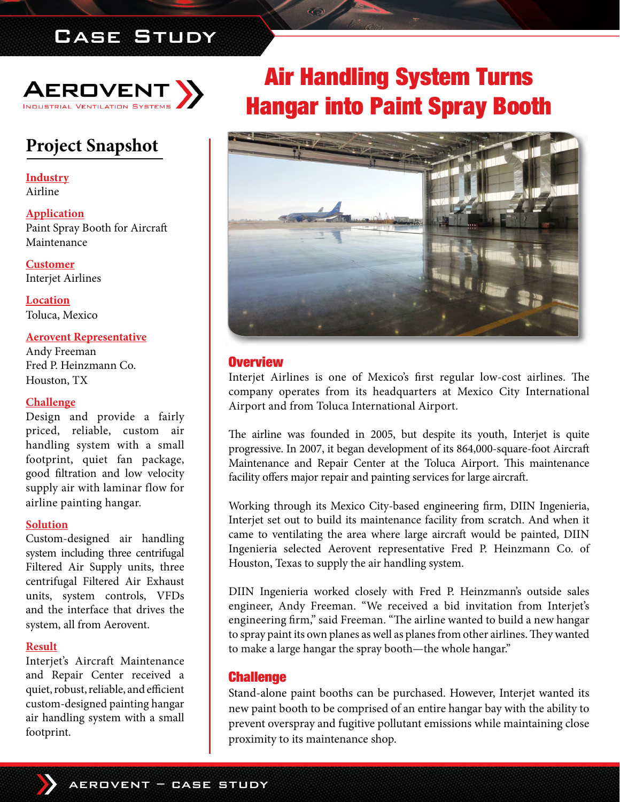# Case Study



# **Project Snapshot**

**Industry** Airline

**Application** Paint Spray Booth for Aircraft Maintenance

**Customer** Interjet Airlines

**Location** Toluca, Mexico

### **Aerovent Representative**

Andy Freeman Fred P. Heinzmann Co. Houston, TX

#### **Challenge**

Design and provide a fairly priced, reliable, custom air handling system with a small footprint, quiet fan package, good filtration and low velocity supply air with laminar flow for airline painting hangar.

#### **Solution**

Custom-designed air handling system including three centrifugal Filtered Air Supply units, three centrifugal Filtered Air Exhaust units, system controls, VFDs and the interface that drives the system, all from Aerovent.

#### **Result**

Interjet's Aircraft Maintenance and Repair Center received a quiet, robust, reliable, and efficient custom-designed painting hangar air handling system with a small footprint.

# Air Handling System Turns Hangar into Paint Spray Booth



## **Overview**

Interjet Airlines is one of Mexico's first regular low-cost airlines. The company operates from its headquarters at Mexico City International Airport and from Toluca International Airport.

The airline was founded in 2005, but despite its youth, Interjet is quite progressive. In 2007, it began development of its 864,000-square-foot Aircraft Maintenance and Repair Center at the Toluca Airport. This maintenance facility offers major repair and painting services for large aircraft.

Working through its Mexico City-based engineering firm, DIIN Ingenieria, Interjet set out to build its maintenance facility from scratch. And when it came to ventilating the area where large aircraft would be painted, DIIN Ingenieria selected Aerovent representative Fred P. Heinzmann Co. of Houston, Texas to supply the air handling system.

DIIN Ingenieria worked closely with Fred P. Heinzmann's outside sales engineer, Andy Freeman. "We received a bid invitation from Interjet's engineering firm," said Freeman. "The airline wanted to build a new hangar to spray paint its own planes as well as planes from other airlines. They wanted to make a large hangar the spray booth—the whole hangar."

## **Challenge**

Stand-alone paint booths can be purchased. However, Interjet wanted its new paint booth to be comprised of an entire hangar bay with the ability to prevent overspray and fugitive pollutant emissions while maintaining close proximity to its maintenance shop.

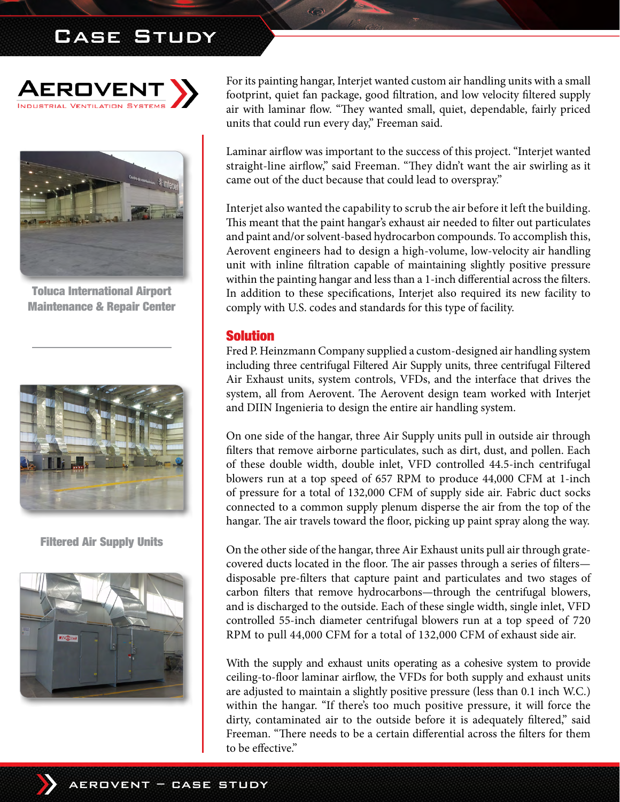# Case Study





Toluca International Airport Maintenance & Repair Center



Filtered Air Supply Units



For its painting hangar, Interjet wanted custom air handling units with a small footprint, quiet fan package, good filtration, and low velocity filtered supply air with laminar flow. "They wanted small, quiet, dependable, fairly priced units that could run every day," Freeman said.

Laminar airflow was important to the success of this project. "Interjet wanted straight-line airflow," said Freeman. "They didn't want the air swirling as it came out of the duct because that could lead to overspray."

Interjet also wanted the capability to scrub the air before it left the building. This meant that the paint hangar's exhaust air needed to filter out particulates and paint and/or solvent-based hydrocarbon compounds. To accomplish this, Aerovent engineers had to design a high-volume, low-velocity air handling unit with inline filtration capable of maintaining slightly positive pressure within the painting hangar and less than a 1-inch differential across the filters. In addition to these specifications, Interjet also required its new facility to comply with U.S. codes and standards for this type of facility.

## Solution

Fred P. Heinzmann Company supplied a custom-designed air handling system including three centrifugal Filtered Air Supply units, three centrifugal Filtered Air Exhaust units, system controls, VFDs, and the interface that drives the system, all from Aerovent. The Aerovent design team worked with Interjet and DIIN Ingenieria to design the entire air handling system.

On one side of the hangar, three Air Supply units pull in outside air through filters that remove airborne particulates, such as dirt, dust, and pollen. Each of these double width, double inlet, VFD controlled 44.5-inch centrifugal blowers run at a top speed of 657 RPM to produce 44,000 CFM at 1-inch of pressure for a total of 132,000 CFM of supply side air. Fabric duct socks connected to a common supply plenum disperse the air from the top of the hangar. The air travels toward the floor, picking up paint spray along the way.

On the other side of the hangar, three Air Exhaust units pull air through gratecovered ducts located in the floor. The air passes through a series of filters disposable pre-filters that capture paint and particulates and two stages of carbon filters that remove hydrocarbons—through the centrifugal blowers, and is discharged to the outside. Each of these single width, single inlet, VFD controlled 55-inch diameter centrifugal blowers run at a top speed of 720 RPM to pull 44,000 CFM for a total of 132,000 CFM of exhaust side air.

With the supply and exhaust units operating as a cohesive system to provide ceiling-to-floor laminar airflow, the VFDs for both supply and exhaust units are adjusted to maintain a slightly positive pressure (less than 0.1 inch W.C.) within the hangar. "If there's too much positive pressure, it will force the dirty, contaminated air to the outside before it is adequately filtered," said Freeman. "There needs to be a certain differential across the filters for them to be effective."